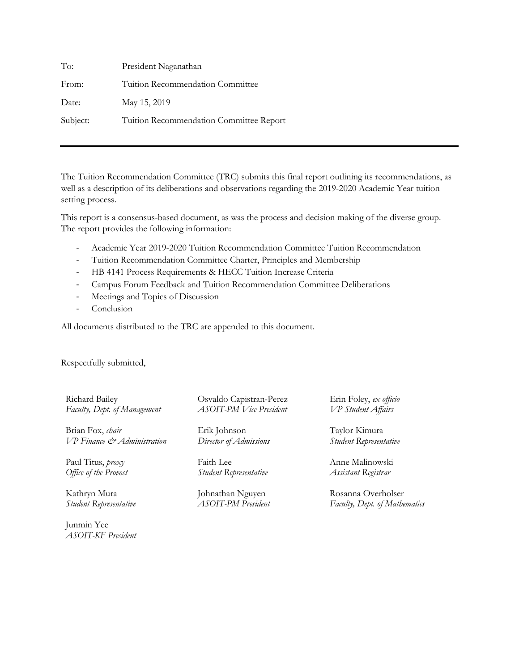| To:      | President Naganathan                    |
|----------|-----------------------------------------|
| From:    | Tuition Recommendation Committee        |
| Date:    | May 15, 2019                            |
| Subject: | Tuition Recommendation Committee Report |

The Tuition Recommendation Committee (TRC) submits this final report outlining its recommendations, as well as a description of its deliberations and observations regarding the 2019-2020 Academic Year tuition setting process.

This report is a consensus-based document, as was the process and decision making of the diverse group. The report provides the following information:

- Academic Year 2019-2020 Tuition Recommendation Committee Tuition Recommendation
- Tuition Recommendation Committee Charter, Principles and Membership
- HB 4141 Process Requirements & HECC Tuition Increase Criteria
- Campus Forum Feedback and Tuition Recommendation Committee Deliberations
- Meetings and Topics of Discussion
- Conclusion

All documents distributed to the TRC are appended to this document.

Respectfully submitted,

Richard Bailey *Faculty, Dept. of Management*

Brian Fox, *chair VP Finance & Administration*

Paul Titus, *proxy Office of the Provost*

Kathryn Mura *Student Representative*

Junmin Yee *ASOIT-KF President* Osvaldo Capistran-Perez *ASOIT-PM Vice President*

Erik Johnson *Director of Admissions*

Faith Lee *Student Representative*

Johnathan Nguyen *ASOIT-PM President* Erin Foley, *ex officio VP Student Affairs*

Taylor Kimura *Student Representative*

Anne Malinowski *Assistant Registrar*

Rosanna Overholser *Faculty, Dept. of Mathematics*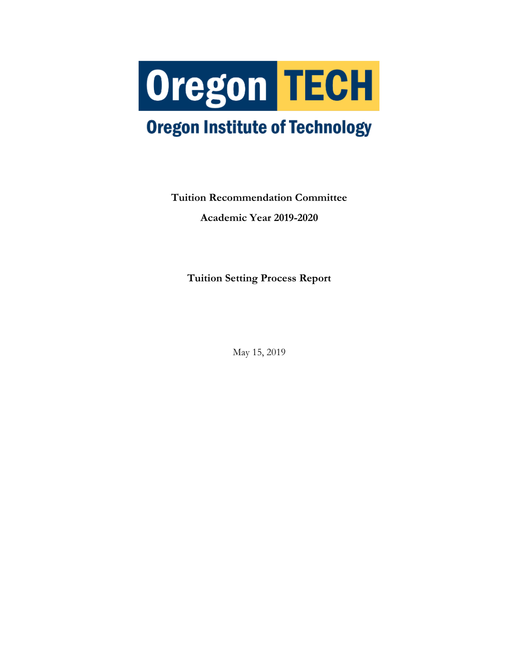

# **Oregon Institute of Technology**

**Tuition Recommendation Committee Academic Year 2019-2020**

**Tuition Setting Process Report**

May 15, 2019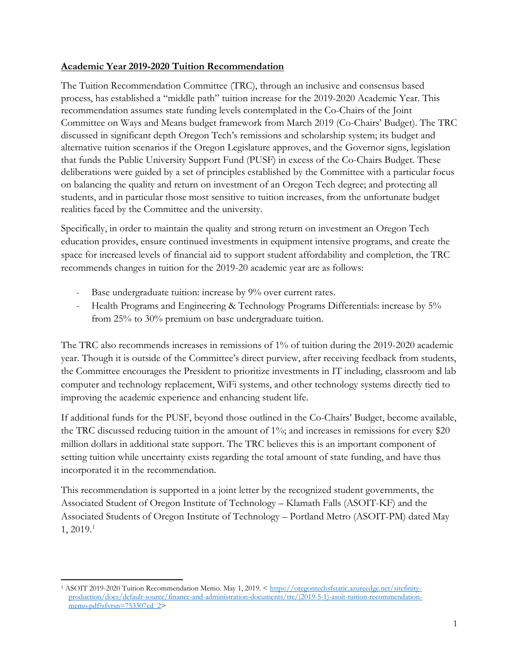### **Academic Year 2019-2020 Tuition Recommendation**

The Tuition Recommendation Committee (TRC), through an inclusive and consensus based process, has established a "middle path" tuition increase for the 2019-2020 Academic Year. This recommendation assumes state funding levels contemplated in the Co-Chairs of the Joint Committee on Ways and Means budget framework from March 2019 (Co-Chairs' Budget). The TRC discussed in significant depth Oregon Tech's remissions and scholarship system; its budget and alternative tuition scenarios if the Oregon Legislature approves, and the Governor signs, legislation that funds the Public University Support Fund (PUSF) in excess of the Co-Chairs Budget. These deliberations were guided by a set of principles established by the Committee with a particular focus on balancing the quality and return on investment of an Oregon Tech degree; and protecting all students, and in particular those most sensitive to tuition increases, from the unfortunate budget realities faced by the Committee and the university.

Specifically, in order to maintain the quality and strong return on investment an Oregon Tech education provides, ensure continued investments in equipment intensive programs, and create the space for increased levels of financial aid to support student affordability and completion, the TRC recommends changes in tuition for the 2019-20 academic year are as follows:

- Base undergraduate tuition: increase by 9% over current rates.
- Health Programs and Engineering & Technology Programs Differentials: increase by 5% from 25% to 30% premium on base undergraduate tuition.

The TRC also recommends increases in remissions of 1% of tuition during the 2019-2020 academic year. Though it is outside of the Committee's direct purview, after receiving feedback from students, the Committee encourages the President to prioritize investments in IT including, classroom and lab computer and technology replacement, WiFi systems, and other technology systems directly tied to improving the academic experience and enhancing student life.

If additional funds for the PUSF, beyond those outlined in the Co-Chairs' Budget, become available, the TRC discussed reducing tuition in the amount of 1%; and increases in remissions for every \$20 million dollars in additional state support. The TRC believes this is an important component of setting tuition while uncertainty exists regarding the total amount of state funding, and have thus incorporated it in the recommendation.

This recommendation is supported in a joint letter by the recognized student governments, the Associated Student of Oregon Institute of Technology – Klamath Falls (ASOIT-KF) and the Associated Students of Oregon Institute of Technology – Portland Metro (ASOIT-PM) dated May  $1, 2019.<sup>1</sup>$  $1, 2019.<sup>1</sup>$ 

<span id="page-2-0"></span> $\overline{a}$ <sup>1</sup> ASOIT 2019-2020 Tuition Recommendation Memo. May 1, 2019. [< https://oregontechsfstatic.azureedge.net/sitefinity](https://oregontechsfstatic.azureedge.net/sitefinity-production/docs/default-source/finance-and-administration-documents/trc/(2019-5-1)-asoit-tuition-recommendation-memo.pdf?sfvrsn=753307cd_2)[production/docs/default-source/finance-and-administration-documents/trc/\(2019-5-1\)-asoit-tuition-recommendation](https://oregontechsfstatic.azureedge.net/sitefinity-production/docs/default-source/finance-and-administration-documents/trc/(2019-5-1)-asoit-tuition-recommendation-memo.pdf?sfvrsn=753307cd_2)[memo.pdf?sfvrsn=753307cd\\_2>](https://oregontechsfstatic.azureedge.net/sitefinity-production/docs/default-source/finance-and-administration-documents/trc/(2019-5-1)-asoit-tuition-recommendation-memo.pdf?sfvrsn=753307cd_2)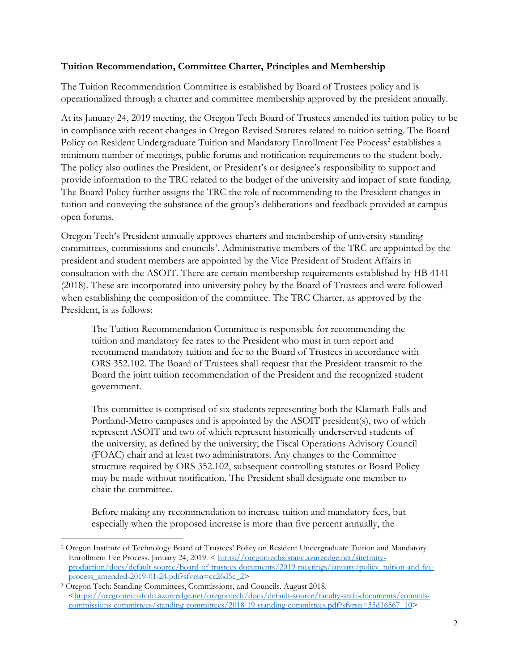## **Tuition Recommendation, Committee Charter, Principles and Membership**

The Tuition Recommendation Committee is established by Board of Trustees policy and is operationalized through a charter and committee membership approved by the president annually.

At its January 24, 2019 meeting, the Oregon Tech Board of Trustees amended its tuition policy to be in compliance with recent changes in Oregon Revised Statutes related to tuition setting. The Board Policy on Resident Undergraduate Tuition and Mandatory Enrollment Fee Process<sup>[2](#page-3-0)</sup> establishes a minimum number of meetings, public forums and notification requirements to the student body. The policy also outlines the President, or President's or designee's responsibility to support and provide information to the TRC related to the budget of the university and impact of state funding. The Board Policy further assigns the TRC the role of recommending to the President changes in tuition and conveying the substance of the group's deliberations and feedback provided at campus open forums.

Oregon Tech's President annually approves charters and membership of university standing committees, commissions and councils<sup>3</sup>. Administrative members of the TRC are appointed by the president and student members are appointed by the Vice President of Student Affairs in consultation with the ASOIT. There are certain membership requirements established by HB 4141 (2018). These are incorporated into university policy by the Board of Trustees and were followed when establishing the composition of the committee. The TRC Charter, as approved by the President, is as follows:

The Tuition Recommendation Committee is responsible for recommending the tuition and mandatory fee rates to the President who must in turn report and recommend mandatory tuition and fee to the Board of Trustees in accordance with ORS 352.102. The Board of Trustees shall request that the President transmit to the Board the joint tuition recommendation of the President and the recognized student government.

This committee is comprised of six students representing both the Klamath Falls and Portland-Metro campuses and is appointed by the ASOIT president(s), two of which represent ASOIT and two of which represent historically underserved students of the university, as defined by the university; the Fiscal Operations Advisory Council (FOAC) chair and at least two administrators. Any changes to the Committee structure required by ORS 352.102, subsequent controlling statutes or Board Policy may be made without notification. The President shall designate one member to chair the committee.

Before making any recommendation to increase tuition and mandatory fees, but especially when the proposed increase is more than five percent annually, the

 $\overline{a}$ 

<span id="page-3-0"></span><sup>2</sup> Oregon Institute of Technology Board of Trustees' Policy on Resident Undergraduate Tuition and Mandatory Enrollment Fee Process. January 24, 2019. < [https://oregontechsfstatic.azureedge.net/sitefinity](https://oregontechsfstatic.azureedge.net/sitefinity-production/docs/default-source/board-of-trustees-documents/2019-meetings/january/policy_tuition-and-fee-process_amended-2019-01-24.pdf?sfvrsn=cc26d5c_2)[production/docs/default-source/board-of-trustees-documents/2019-meetings/january/policy\\_tuition-and-fee](https://oregontechsfstatic.azureedge.net/sitefinity-production/docs/default-source/board-of-trustees-documents/2019-meetings/january/policy_tuition-and-fee-process_amended-2019-01-24.pdf?sfvrsn=cc26d5c_2)[process\\_amended-2019-01-24.pdf?sfvrsn=cc26d5c\\_2>](https://oregontechsfstatic.azureedge.net/sitefinity-production/docs/default-source/board-of-trustees-documents/2019-meetings/january/policy_tuition-and-fee-process_amended-2019-01-24.pdf?sfvrsn=cc26d5c_2)

<span id="page-3-1"></span><sup>3</sup> Oregon Tech: Standing Committees, Commissions, and Councils. August 2018. [<https://oregontechsfcdn.azureedge.net/oregontech/docs/default-source/faculty-staff-documents/councils](https://oregontechsfcdn.azureedge.net/oregontech/docs/default-source/faculty-staff-documents/councils-commissions-committees/standing-committees/2018-19-standing-committees.pdf?sfvrsn=35d16567_10)[commissions-committees/standing-committees/2018-19-standing-committees.pdf?sfvrsn=35d16567\\_10>](https://oregontechsfcdn.azureedge.net/oregontech/docs/default-source/faculty-staff-documents/councils-commissions-committees/standing-committees/2018-19-standing-committees.pdf?sfvrsn=35d16567_10)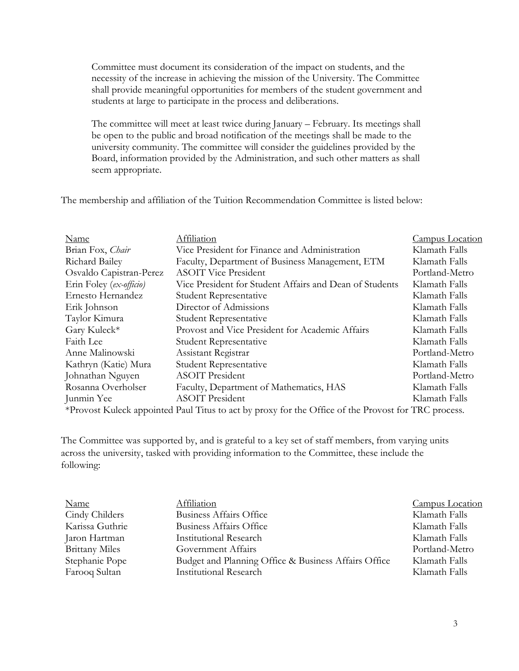Committee must document its consideration of the impact on students, and the necessity of the increase in achieving the mission of the University. The Committee shall provide meaningful opportunities for members of the student government and students at large to participate in the process and deliberations.

The committee will meet at least twice during January – February. Its meetings shall be open to the public and broad notification of the meetings shall be made to the university community. The committee will consider the guidelines provided by the Board, information provided by the Administration, and such other matters as shall seem appropriate.

The membership and affiliation of the Tuition Recommendation Committee is listed below:

| Name                                                                                                | Affiliation                                             | Campus Location |  |
|-----------------------------------------------------------------------------------------------------|---------------------------------------------------------|-----------------|--|
| Brian Fox, Chair                                                                                    | Vice President for Finance and Administration           | Klamath Falls   |  |
| Richard Bailey                                                                                      | Faculty, Department of Business Management, ETM         | Klamath Falls   |  |
| Osvaldo Capistran-Perez                                                                             | <b>ASOIT Vice President</b>                             | Portland-Metro  |  |
| Erin Foley (ex-officio)                                                                             | Vice President for Student Affairs and Dean of Students | Klamath Falls   |  |
| Ernesto Hernandez                                                                                   | Student Representative                                  | Klamath Falls   |  |
| Erik Johnson                                                                                        | Director of Admissions                                  | Klamath Falls   |  |
| Taylor Kimura                                                                                       | <b>Student Representative</b>                           | Klamath Falls   |  |
| Gary Kuleck*                                                                                        | Provost and Vice President for Academic Affairs         | Klamath Falls   |  |
| Faith Lee                                                                                           | Student Representative                                  | Klamath Falls   |  |
| Anne Malinowski                                                                                     | Assistant Registrar                                     | Portland-Metro  |  |
| Kathryn (Katie) Mura                                                                                | <b>Student Representative</b>                           | Klamath Falls   |  |
| Johnathan Nguyen                                                                                    | <b>ASOIT President</b>                                  | Portland-Metro  |  |
| Rosanna Overholser                                                                                  | Faculty, Department of Mathematics, HAS                 | Klamath Falls   |  |
| Junmin Yee                                                                                          | <b>ASOIT President</b>                                  | Klamath Falls   |  |
| *Provost Kuleck appointed Paul Titus to act by proxy for the Office of the Provost for TRC process. |                                                         |                 |  |

The Committee was supported by, and is grateful to a key set of staff members, from varying units across the university, tasked with providing information to the Committee, these include the following:

| <b>Name</b>           | Affiliation                                          | <b>Campus Location</b> |
|-----------------------|------------------------------------------------------|------------------------|
| Cindy Childers        | Business Affairs Office                              | Klamath Falls          |
| Karissa Guthrie       | <b>Business Affairs Office</b>                       | Klamath Falls          |
| Jaron Hartman         | <b>Institutional Research</b>                        | Klamath Falls          |
| <b>Brittany Miles</b> | Government Affairs                                   | Portland-Metro         |
| Stephanie Pope        | Budget and Planning Office & Business Affairs Office | Klamath Falls          |
| Farooq Sultan         | <b>Institutional Research</b>                        | Klamath Falls          |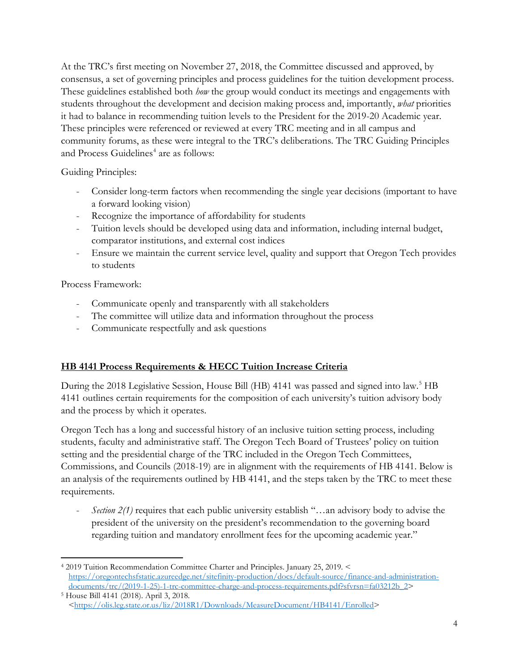At the TRC's first meeting on November 27, 2018, the Committee discussed and approved, by consensus, a set of governing principles and process guidelines for the tuition development process. These guidelines established both *how* the group would conduct its meetings and engagements with students throughout the development and decision making process and, importantly, *what* priorities it had to balance in recommending tuition levels to the President for the 2019-20 Academic year. These principles were referenced or reviewed at every TRC meeting and in all campus and community forums, as these were integral to the TRC's deliberations. The TRC Guiding Principles and Process Guidelines<sup>[4](#page-5-0)</sup> are as follows:

Guiding Principles:

- Consider long-term factors when recommending the single year decisions (important to have a forward looking vision)
- Recognize the importance of affordability for students
- Tuition levels should be developed using data and information, including internal budget, comparator institutions, and external cost indices
- Ensure we maintain the current service level, quality and support that Oregon Tech provides to students

Process Framework:

- Communicate openly and transparently with all stakeholders
- The committee will utilize data and information throughout the process
- Communicate respectfully and ask questions

## **HB 4141 Process Requirements & HECC Tuition Increase Criteria**

During the 2018 Legislative Session, House Bill (HB) 4141 was passed and signed into law.<sup>5</sup> HB 4141 outlines certain requirements for the composition of each university's tuition advisory body and the process by which it operates.

Oregon Tech has a long and successful history of an inclusive tuition setting process, including students, faculty and administrative staff. The Oregon Tech Board of Trustees' policy on tuition setting and the presidential charge of the TRC included in the Oregon Tech Committees, Commissions, and Councils (2018-19) are in alignment with the requirements of HB 4141. Below is an analysis of the requirements outlined by HB 4141, and the steps taken by the TRC to meet these requirements.

*Section 2(1)* requires that each public university establish "...an advisory body to advise the president of the university on the president's recommendation to the governing board regarding tuition and mandatory enrollment fees for the upcoming academic year."

<span id="page-5-0"></span> $\overline{a}$ <sup>4</sup> 2019 Tuition Recommendation Committee Charter and Principles. January 25, 2019. < [https://oregontechsfstatic.azureedge.net/sitefinity-production/docs/default-source/finance-and-administration-](https://oregontechsfstatic.azureedge.net/sitefinity-production/docs/default-source/finance-and-administration-documents/trc/(2019-1-25)-1-trc-committee-charge-and-process-requirements.pdf?sfvrsn=fa03212b_2)

<span id="page-5-1"></span>[documents/trc/\(2019-1-25\)-1-trc-committee-charge-and-process-requirements.pdf?sfvrsn=fa03212b\\_2>](https://oregontechsfstatic.azureedge.net/sitefinity-production/docs/default-source/finance-and-administration-documents/trc/(2019-1-25)-1-trc-committee-charge-and-process-requirements.pdf?sfvrsn=fa03212b_2) 5 House Bill 4141 (2018). April 3, 2018. [<https://olis.leg.state.or.us/liz/2018R1/Downloads/MeasureDocument/HB4141/Enrolled>](https://olis.leg.state.or.us/liz/2018R1/Downloads/MeasureDocument/HB4141/Enrolled)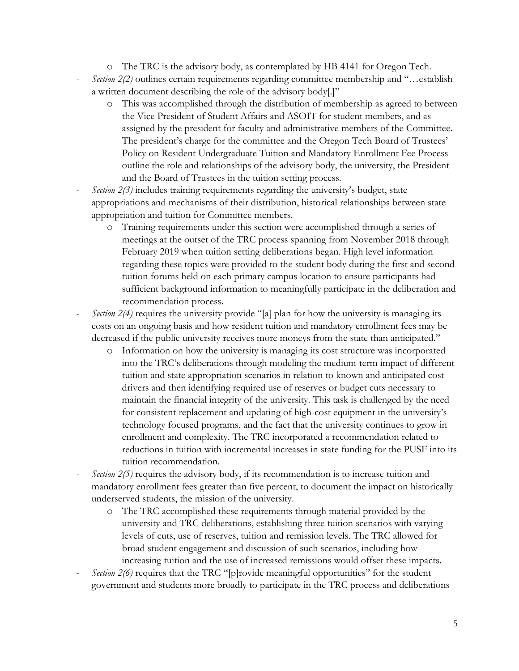- o The TRC is the advisory body, as contemplated by HB 4141 for Oregon Tech.
- Section 2(2) outlines certain requirements regarding committee membership and "...establish a written document describing the role of the advisory body[.]"
	- o This was accomplished through the distribution of membership as agreed to between the Vice President of Student Affairs and ASOIT for student members, and as assigned by the president for faculty and administrative members of the Committee. The president's charge for the committee and the Oregon Tech Board of Trustees' Policy on Resident Undergraduate Tuition and Mandatory Enrollment Fee Process outline the role and relationships of the advisory body, the university, the President and the Board of Trustees in the tuition setting process.
- *Section 2(3)* includes training requirements regarding the university's budget, state appropriations and mechanisms of their distribution, historical relationships between state appropriation and tuition for Committee members.
	- o Training requirements under this section were accomplished through a series of meetings at the outset of the TRC process spanning from November 2018 through February 2019 when tuition setting deliberations began. High level information regarding these topics were provided to the student body during the first and second tuition forums held on each primary campus location to ensure participants had sufficient background information to meaningfully participate in the deliberation and recommendation process.
- *Section 2(4)* requires the university provide "[a] plan for how the university is managing its costs on an ongoing basis and how resident tuition and mandatory enrollment fees may be decreased if the public university receives more moneys from the state than anticipated."
	- o Information on how the university is managing its cost structure was incorporated into the TRC's deliberations through modeling the medium-term impact of different tuition and state appropriation scenarios in relation to known and anticipated cost drivers and then identifying required use of reserves or budget cuts necessary to maintain the financial integrity of the university. This task is challenged by the need for consistent replacement and updating of high-cost equipment in the university's technology focused programs, and the fact that the university continues to grow in enrollment and complexity. The TRC incorporated a recommendation related to reductions in tuition with incremental increases in state funding for the PUSF into its tuition recommendation.
- *Section 2(5)* requires the advisory body, if its recommendation is to increase tuition and mandatory enrollment fees greater than five percent, to document the impact on historically underserved students, the mission of the university.
	- o The TRC accomplished these requirements through material provided by the university and TRC deliberations, establishing three tuition scenarios with varying levels of cuts, use of reserves, tuition and remission levels. The TRC allowed for broad student engagement and discussion of such scenarios, including how increasing tuition and the use of increased remissions would offset these impacts.
- *Section 2(6)* requires that the TRC "[p]rovide meaningful opportunities" for the student government and students more broadly to participate in the TRC process and deliberations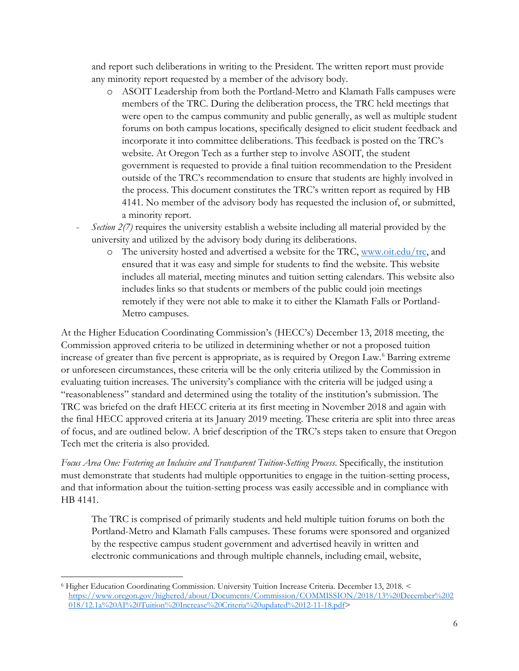and report such deliberations in writing to the President. The written report must provide any minority report requested by a member of the advisory body.

- o ASOIT Leadership from both the Portland-Metro and Klamath Falls campuses were members of the TRC. During the deliberation process, the TRC held meetings that were open to the campus community and public generally, as well as multiple student forums on both campus locations, specifically designed to elicit student feedback and incorporate it into committee deliberations. This feedback is posted on the TRC's website. At Oregon Tech as a further step to involve ASOIT, the student government is requested to provide a final tuition recommendation to the President outside of the TRC's recommendation to ensure that students are highly involved in the process. This document constitutes the TRC's written report as required by HB 4141. No member of the advisory body has requested the inclusion of, or submitted, a minority report.
- *Section 2(7)* requires the university establish a website including all material provided by the university and utilized by the advisory body during its deliberations.
	- o The university hosted and advertised a website for the TRC, [www.oit.edu/trc,](http://www.oit.edu/trc) and ensured that it was easy and simple for students to find the website. This website includes all material, meeting minutes and tuition setting calendars. This website also includes links so that students or members of the public could join meetings remotely if they were not able to make it to either the Klamath Falls or Portland-Metro campuses.

At the Higher Education Coordinating Commission's (HECC's) December 13, 2018 meeting, the Commission approved criteria to be utilized in determining whether or not a proposed tuition increase of greater than five percent is appropriate, as is required by Oregon Law. [6](#page-7-0) Barring extreme or unforeseen circumstances, these criteria will be the only criteria utilized by the Commission in evaluating tuition increases. The university's compliance with the criteria will be judged using a "reasonableness" standard and determined using the totality of the institution's submission. The TRC was briefed on the draft HECC criteria at its first meeting in November 2018 and again with the final HECC approved criteria at its January 2019 meeting. These criteria are split into three areas of focus, and are outlined below. A brief description of the TRC's steps taken to ensure that Oregon Tech met the criteria is also provided.

*Focus Area One: Fostering an Inclusive and Transparent Tuition-Setting Process*. Specifically, the institution must demonstrate that students had multiple opportunities to engage in the tuition-setting process, and that information about the tuition-setting process was easily accessible and in compliance with HB 4141.

The TRC is comprised of primarily students and held multiple tuition forums on both the Portland-Metro and Klamath Falls campuses. These forums were sponsored and organized by the respective campus student government and advertised heavily in written and electronic communications and through multiple channels, including email, website,

 $\overline{a}$ 

<span id="page-7-0"></span><sup>6</sup> Higher Education Coordinating Commission. University Tuition Increase Criteria. December 13, 2018. < [https://www.oregon.gov/highered/about/Documents/Commission/COMMISSION/2018/13%20December%202](https://www.oregon.gov/highered/about/Documents/Commission/COMMISSION/2018/13%20December%202018/12.1a%20AI%20Tuition%20Increase%20Criteria%20updated%2012-11-18.pdf) [018/12.1a%20AI%20Tuition%20Increase%20Criteria%20updated%2012-11-18.pdf>](https://www.oregon.gov/highered/about/Documents/Commission/COMMISSION/2018/13%20December%202018/12.1a%20AI%20Tuition%20Increase%20Criteria%20updated%2012-11-18.pdf)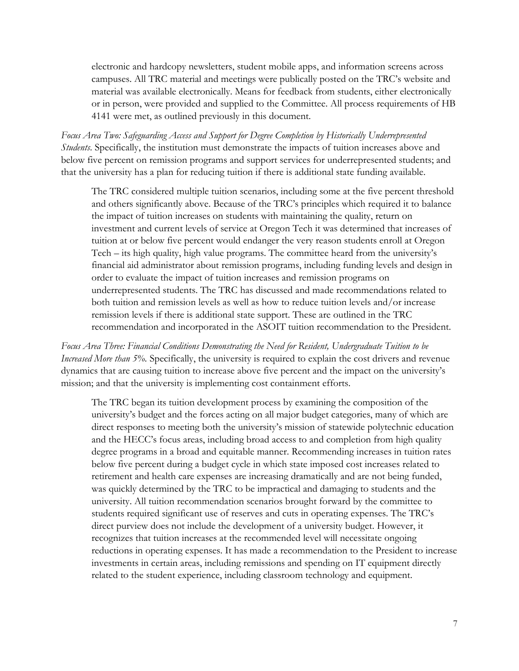electronic and hardcopy newsletters, student mobile apps, and information screens across campuses. All TRC material and meetings were publically posted on the TRC's website and material was available electronically. Means for feedback from students, either electronically or in person, were provided and supplied to the Committee. All process requirements of HB 4141 were met, as outlined previously in this document.

*Focus Area Two: Safeguarding Access and Support for Degree Completion by Historically Underrepresented Students*. Specifically, the institution must demonstrate the impacts of tuition increases above and below five percent on remission programs and support services for underrepresented students; and that the university has a plan for reducing tuition if there is additional state funding available.

The TRC considered multiple tuition scenarios, including some at the five percent threshold and others significantly above. Because of the TRC's principles which required it to balance the impact of tuition increases on students with maintaining the quality, return on investment and current levels of service at Oregon Tech it was determined that increases of tuition at or below five percent would endanger the very reason students enroll at Oregon Tech – its high quality, high value programs. The committee heard from the university's financial aid administrator about remission programs, including funding levels and design in order to evaluate the impact of tuition increases and remission programs on underrepresented students. The TRC has discussed and made recommendations related to both tuition and remission levels as well as how to reduce tuition levels and/or increase remission levels if there is additional state support. These are outlined in the TRC recommendation and incorporated in the ASOIT tuition recommendation to the President.

*Focus Area Three: Financial Conditions Demonstrating the Need for Resident, Undergraduate Tuition to be Increased More than 5%*. Specifically, the university is required to explain the cost drivers and revenue dynamics that are causing tuition to increase above five percent and the impact on the university's mission; and that the university is implementing cost containment efforts.

The TRC began its tuition development process by examining the composition of the university's budget and the forces acting on all major budget categories, many of which are direct responses to meeting both the university's mission of statewide polytechnic education and the HECC's focus areas, including broad access to and completion from high quality degree programs in a broad and equitable manner. Recommending increases in tuition rates below five percent during a budget cycle in which state imposed cost increases related to retirement and health care expenses are increasing dramatically and are not being funded, was quickly determined by the TRC to be impractical and damaging to students and the university. All tuition recommendation scenarios brought forward by the committee to students required significant use of reserves and cuts in operating expenses. The TRC's direct purview does not include the development of a university budget. However, it recognizes that tuition increases at the recommended level will necessitate ongoing reductions in operating expenses. It has made a recommendation to the President to increase investments in certain areas, including remissions and spending on IT equipment directly related to the student experience, including classroom technology and equipment.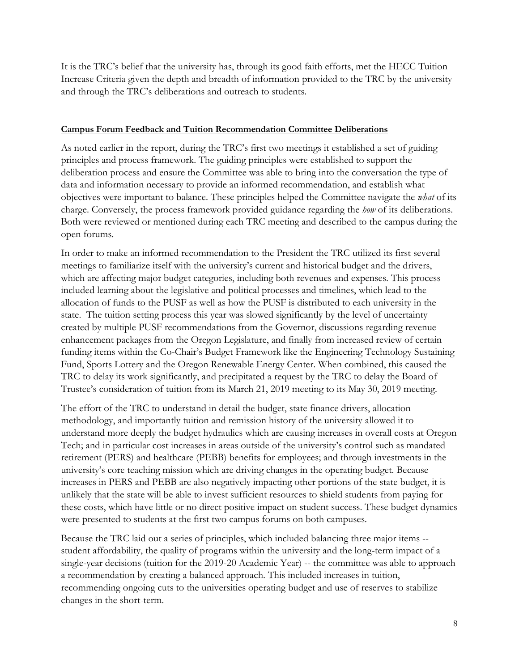It is the TRC's belief that the university has, through its good faith efforts, met the HECC Tuition Increase Criteria given the depth and breadth of information provided to the TRC by the university and through the TRC's deliberations and outreach to students.

#### **Campus Forum Feedback and Tuition Recommendation Committee Deliberations**

As noted earlier in the report, during the TRC's first two meetings it established a set of guiding principles and process framework. The guiding principles were established to support the deliberation process and ensure the Committee was able to bring into the conversation the type of data and information necessary to provide an informed recommendation, and establish what objectives were important to balance. These principles helped the Committee navigate the *what* of its charge. Conversely, the process framework provided guidance regarding the *how* of its deliberations. Both were reviewed or mentioned during each TRC meeting and described to the campus during the open forums.

In order to make an informed recommendation to the President the TRC utilized its first several meetings to familiarize itself with the university's current and historical budget and the drivers, which are affecting major budget categories, including both revenues and expenses. This process included learning about the legislative and political processes and timelines, which lead to the allocation of funds to the PUSF as well as how the PUSF is distributed to each university in the state. The tuition setting process this year was slowed significantly by the level of uncertainty created by multiple PUSF recommendations from the Governor, discussions regarding revenue enhancement packages from the Oregon Legislature, and finally from increased review of certain funding items within the Co-Chair's Budget Framework like the Engineering Technology Sustaining Fund, Sports Lottery and the Oregon Renewable Energy Center. When combined, this caused the TRC to delay its work significantly, and precipitated a request by the TRC to delay the Board of Trustee's consideration of tuition from its March 21, 2019 meeting to its May 30, 2019 meeting.

The effort of the TRC to understand in detail the budget, state finance drivers, allocation methodology, and importantly tuition and remission history of the university allowed it to understand more deeply the budget hydraulics which are causing increases in overall costs at Oregon Tech; and in particular cost increases in areas outside of the university's control such as mandated retirement (PERS) and healthcare (PEBB) benefits for employees; and through investments in the university's core teaching mission which are driving changes in the operating budget. Because increases in PERS and PEBB are also negatively impacting other portions of the state budget, it is unlikely that the state will be able to invest sufficient resources to shield students from paying for these costs, which have little or no direct positive impact on student success. These budget dynamics were presented to students at the first two campus forums on both campuses.

Because the TRC laid out a series of principles, which included balancing three major items - student affordability, the quality of programs within the university and the long-term impact of a single-year decisions (tuition for the 2019-20 Academic Year) -- the committee was able to approach a recommendation by creating a balanced approach. This included increases in tuition, recommending ongoing cuts to the universities operating budget and use of reserves to stabilize changes in the short-term.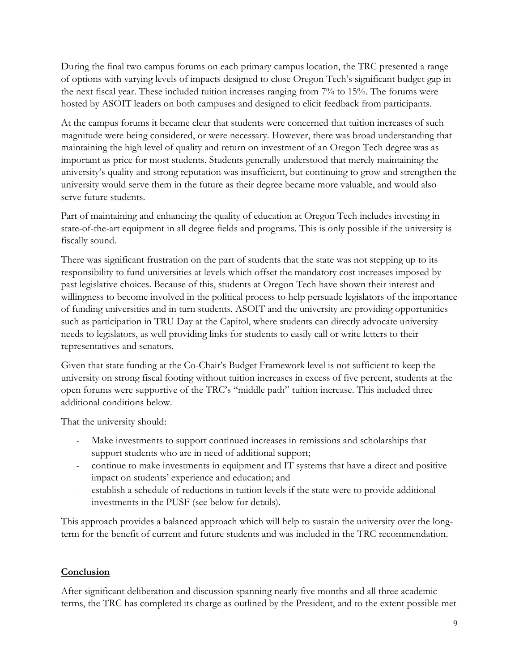During the final two campus forums on each primary campus location, the TRC presented a range of options with varying levels of impacts designed to close Oregon Tech's significant budget gap in the next fiscal year. These included tuition increases ranging from 7% to 15%. The forums were hosted by ASOIT leaders on both campuses and designed to elicit feedback from participants.

At the campus forums it became clear that students were concerned that tuition increases of such magnitude were being considered, or were necessary. However, there was broad understanding that maintaining the high level of quality and return on investment of an Oregon Tech degree was as important as price for most students. Students generally understood that merely maintaining the university's quality and strong reputation was insufficient, but continuing to grow and strengthen the university would serve them in the future as their degree became more valuable, and would also serve future students.

Part of maintaining and enhancing the quality of education at Oregon Tech includes investing in state-of-the-art equipment in all degree fields and programs. This is only possible if the university is fiscally sound.

There was significant frustration on the part of students that the state was not stepping up to its responsibility to fund universities at levels which offset the mandatory cost increases imposed by past legislative choices. Because of this, students at Oregon Tech have shown their interest and willingness to become involved in the political process to help persuade legislators of the importance of funding universities and in turn students. ASOIT and the university are providing opportunities such as participation in TRU Day at the Capitol, where students can directly advocate university needs to legislators, as well providing links for students to easily call or write letters to their representatives and senators.

Given that state funding at the Co-Chair's Budget Framework level is not sufficient to keep the university on strong fiscal footing without tuition increases in excess of five percent, students at the open forums were supportive of the TRC's "middle path" tuition increase. This included three additional conditions below.

That the university should:

- Make investments to support continued increases in remissions and scholarships that support students who are in need of additional support;
- continue to make investments in equipment and IT systems that have a direct and positive impact on students' experience and education; and
- establish a schedule of reductions in tuition levels if the state were to provide additional investments in the PUSF (see below for details).

This approach provides a balanced approach which will help to sustain the university over the longterm for the benefit of current and future students and was included in the TRC recommendation.

## **Conclusion**

After significant deliberation and discussion spanning nearly five months and all three academic terms, the TRC has completed its charge as outlined by the President, and to the extent possible met